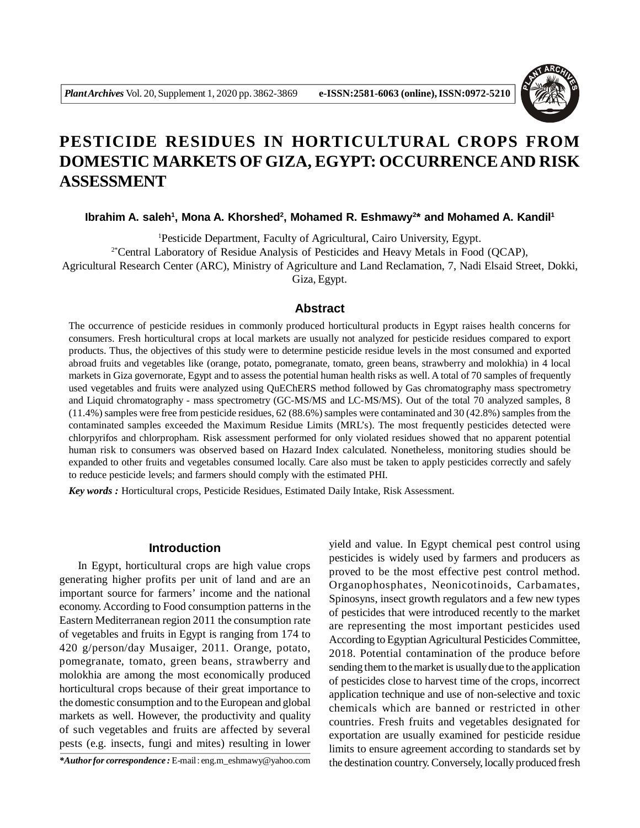

# **PESTICIDE RESIDUES IN HORTICULTURAL CROPS FROM DOMESTIC MARKETS OF GIZA, EGYPT: OCCURRENCE AND RISK ASSESSMENT**

**Ibrahim A. saleh<sup>1</sup> , Mona A. Khorshed<sup>2</sup> , Mohamed R. Eshmawy<sup>2</sup> \* and Mohamed A. Kandil<sup>1</sup>**

<sup>1</sup>Pesticide Department, Faculty of Agricultural, Cairo University, Egypt. 2\*Central Laboratory of Residue Analysis of Pesticides and Heavy Metals in Food (QCAP), Agricultural Research Center (ARC), Ministry of Agriculture and Land Reclamation, 7, Nadi Elsaid Street, Dokki,

Giza, Egypt.

## **Abstract**

The occurrence of pesticide residues in commonly produced horticultural products in Egypt raises health concerns for consumers. Fresh horticultural crops at local markets are usually not analyzed for pesticide residues compared to export products. Thus, the objectives of this study were to determine pesticide residue levels in the most consumed and exported abroad fruits and vegetables like (orange, potato, pomegranate, tomato, green beans, strawberry and molokhia) in 4 local markets in Giza governorate, Egypt and to assess the potential human health risks as well. A total of 70 samples of frequently used vegetables and fruits were analyzed using QuEChERS method followed by Gas chromatography mass spectrometry and Liquid chromatography - mass spectrometry (GC-MS/MS and LC-MS/MS). Out of the total 70 analyzed samples, 8 (11.4%) samples were free from pesticide residues, 62 (88.6%) samples were contaminated and 30 (42.8%) samples from the contaminated samples exceeded the Maximum Residue Limits (MRL's). The most frequently pesticides detected were chlorpyrifos and chlorpropham. Risk assessment performed for only violated residues showed that no apparent potential human risk to consumers was observed based on Hazard Index calculated. Nonetheless, monitoring studies should be expanded to other fruits and vegetables consumed locally. Care also must be taken to apply pesticides correctly and safely to reduce pesticide levels; and farmers should comply with the estimated PHI.

*Key words :* Horticultural crops, Pesticide Residues, Estimated Daily Intake, Risk Assessment.

## **Introduction**

In Egypt, horticultural crops are high value crops generating higher profits per unit of land and are an important source for farmers' income and the national economy. According to Food consumption patterns in the Eastern Mediterranean region 2011 the consumption rate of vegetables and fruits in Egypt is ranging from 174 to 420 g/person/day Musaiger, 2011. Orange, potato, pomegranate, tomato, green beans, strawberry and molokhia are among the most economically produced horticultural crops because of their great importance to the domestic consumption and to the European and global markets as well. However, the productivity and quality of such vegetables and fruits are affected by several pests (e.g. insects, fungi and mites) resulting in lower

*\*Author for correspondence :* E-mail : eng.m\_eshmawy@yahoo.com

yield and value. In Egypt chemical pest control using pesticides is widely used by farmers and producers as proved to be the most effective pest control method. Organophosphates, Neonicotinoids, Carbamates, Spinosyns, insect growth regulators and a few new types of pesticides that were introduced recently to the market are representing the most important pesticides used According to Egyptian Agricultural Pesticides Committee, 2018. Potential contamination of the produce before sending them to the market is usually due to the application of pesticides close to harvest time of the crops, incorrect application technique and use of non-selective and toxic chemicals which are banned or restricted in other countries. Fresh fruits and vegetables designated for exportation are usually examined for pesticide residue limits to ensure agreement according to standards set by the destination country. Conversely, locally produced fresh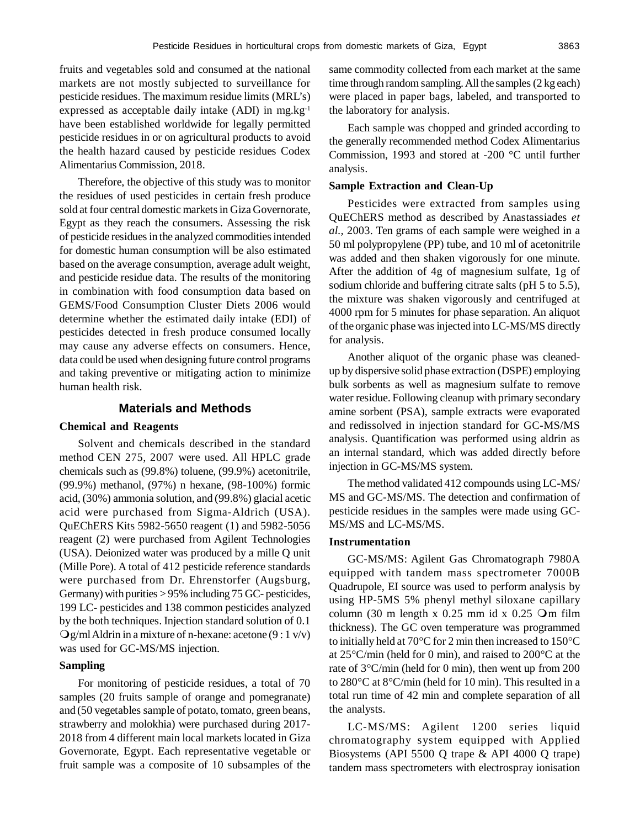fruits and vegetables sold and consumed at the national markets are not mostly subjected to surveillance for pesticide residues. The maximum residue limits (MRL's) expressed as acceptable daily intake  $(ADI)$  in mg.kg<sup>-1</sup> have been established worldwide for legally permitted pesticide residues in or on agricultural products to avoid the health hazard caused by pesticide residues Codex Alimentarius Commission, 2018.

Therefore, the objective of this study was to monitor the residues of used pesticides in certain fresh produce sold at four central domestic markets in Giza Governorate, Egypt as they reach the consumers. Assessing the risk of pesticide residues in the analyzed commodities intended for domestic human consumption will be also estimated based on the average consumption, average adult weight, and pesticide residue data. The results of the monitoring in combination with food consumption data based on GEMS/Food Consumption Cluster Diets 2006 would determine whether the estimated daily intake (EDI) of pesticides detected in fresh produce consumed locally may cause any adverse effects on consumers. Hence, data could be used when designing future control programs and taking preventive or mitigating action to minimize human health risk.

#### **Materials and Methods**

#### **Chemical and Reagents**

Solvent and chemicals described in the standard method CEN 275, 2007 were used. All HPLC grade chemicals such as (99.8%) toluene, (99.9%) acetonitrile, (99.9%) methanol, (97%) n hexane, (98-100%) formic acid, (30%) ammonia solution, and (99.8%) glacial acetic acid were purchased from Sigma-Aldrich (USA). QuEChERS Kits 5982-5650 reagent (1) and 5982-5056 reagent (2) were purchased from Agilent Technologies (USA). Deionized water was produced by a mille Q unit (Mille Pore). A total of 412 pesticide reference standards were purchased from Dr. Ehrenstorfer (Augsburg, Germany) with purities > 95% including 75 GC- pesticides, 199 LC- pesticides and 138 common pesticides analyzed by the both techniques. Injection standard solution of 0.1  $Qg/ml$  Aldrin in a mixture of n-hexane: acetone (9 : 1 v/v) was used for GC-MS/MS injection.

# **Sampling**

For monitoring of pesticide residues, a total of 70 samples (20 fruits sample of orange and pomegranate) and (50 vegetables sample of potato, tomato, green beans, strawberry and molokhia) were purchased during 2017- 2018 from 4 different main local markets located in Giza Governorate, Egypt. Each representative vegetable or fruit sample was a composite of 10 subsamples of the

same commodity collected from each market at the same time through random sampling. All the samples (2 kg each) were placed in paper bags, labeled, and transported to the laboratory for analysis.

Each sample was chopped and grinded according to the generally recommended method Codex Alimentarius Commission, 1993 and stored at -200 °C until further analysis.

#### **Sample Extraction and Clean-Up**

Pesticides were extracted from samples using QuEChERS method as described by Anastassiades *et al.,* 2003. Ten grams of each sample were weighed in a 50 ml polypropylene (PP) tube, and 10 ml of acetonitrile was added and then shaken vigorously for one minute. After the addition of 4g of magnesium sulfate, 1g of sodium chloride and buffering citrate salts (pH 5 to 5.5), the mixture was shaken vigorously and centrifuged at 4000 rpm for 5 minutes for phase separation. An aliquot of the organic phase was injected into LC-MS/MS directly for analysis.

Another aliquot of the organic phase was cleanedup by dispersive solid phase extraction (DSPE) employing bulk sorbents as well as magnesium sulfate to remove water residue. Following cleanup with primary secondary amine sorbent (PSA), sample extracts were evaporated and redissolved in injection standard for GC-MS/MS analysis. Quantification was performed using aldrin as an internal standard, which was added directly before injection in GC-MS/MS system.

The method validated 412 compounds using LC-MS/ MS and GC-MS/MS. The detection and confirmation of pesticide residues in the samples were made using GC-MS/MS and LC-MS/MS.

#### **Instrumentation**

GC-MS/MS: Agilent Gas Chromatograph 7980A equipped with tandem mass spectrometer 7000B Quadrupole, EI source was used to perform analysis by using HP-5MS 5% phenyl methyl siloxane capillary column (30 m length x  $0.25$  mm id x  $0.25$  Om film thickness). The GC oven temperature was programmed to initially held at 70°C for 2 min then increased to 150°C at 25°C/min (held for 0 min), and raised to 200°C at the rate of 3°C/min (held for 0 min), then went up from 200 to 280°C at 8°C/min (held for 10 min). This resulted in a total run time of 42 min and complete separation of all the analysts.

LC-MS/MS: Agilent 1200 series liquid chromatography system equipped with Applied Biosystems (API 5500 Q trape & API 4000 Q trape) tandem mass spectrometers with electrospray ionisation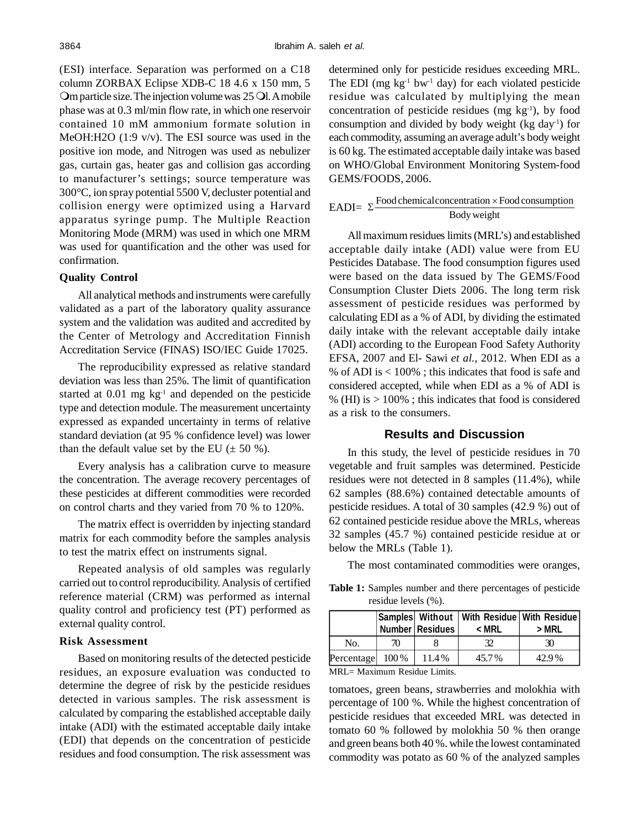(ESI) interface. Separation was performed on a C18 column ZORBAX Eclipse XDB-C 18 4.6 x 150 mm, 5 Om particle size. The injection volume was 25 Ol. A mobile phase was at 0.3 ml/min flow rate, in which one reservoir contained 10 mM ammonium formate solution in MeOH:H2O (1:9 v/v). The ESI source was used in the positive ion mode, and Nitrogen was used as nebulizer gas, curtain gas, heater gas and collision gas according to manufacturer's settings; source temperature was 300°C, ion spray potential 5500 V, decluster potential and collision energy were optimized using a Harvard apparatus syringe pump. The Multiple Reaction Monitoring Mode (MRM) was used in which one MRM was used for quantification and the other was used for confirmation.

#### **Quality Control**

All analytical methods and instruments were carefully validated as a part of the laboratory quality assurance system and the validation was audited and accredited by the Center of Metrology and Accreditation Finnish Accreditation Service (FINAS) ISO/IEC Guide 17025.

The reproducibility expressed as relative standard deviation was less than 25%. The limit of quantification started at  $0.01$  mg  $kg^{-1}$  and depended on the pesticide type and detection module. The measurement uncertainty expressed as expanded uncertainty in terms of relative standard deviation (at 95 % confidence level) was lower than the default value set by the EU  $(\pm 50 \%)$ .

Every analysis has a calibration curve to measure the concentration. The average recovery percentages of these pesticides at different commodities were recorded on control charts and they varied from 70 % to 120%.

The matrix effect is overridden by injecting standard matrix for each commodity before the samples analysis to test the matrix effect on instruments signal.

Repeated analysis of old samples was regularly carried out to control reproducibility. Analysis of certified reference material (CRM) was performed as internal quality control and proficiency test (PT) performed as external quality control.

#### **Risk Assessment**

Based on monitoring results of the detected pesticide residues, an exposure evaluation was conducted to determine the degree of risk by the pesticide residues detected in various samples. The risk assessment is calculated by comparing the established acceptable daily intake (ADI) with the estimated acceptable daily intake (EDI) that depends on the concentration of pesticide residues and food consumption. The risk assessment was determined only for pesticide residues exceeding MRL. The EDI (mg  $kg^{-1}$  bw<sup>-1</sup> day) for each violated pesticide residue was calculated by multiplying the mean concentration of pesticide residues (mg  $kg<sup>-1</sup>$ ), by food consumption and divided by body weight (kg day<sup>-1</sup>) for each commodity, assuming an average adult's body weight is 60 kg. The estimated acceptable daily intake was based on WHO/Global Environment Monitoring System-food GEMS/FOODS, 2006.

# $EADI = \sum \frac{1 \text{ codenematics concentration}}{Body weight}$  $\Sigma$  Food chemical concentration  $\times$  Food consumption

All maximum residues limits (MRL's) and established acceptable daily intake (ADI) value were from EU Pesticides Database. The food consumption figures used were based on the data issued by The GEMS/Food Consumption Cluster Diets 2006. The long term risk assessment of pesticide residues was performed by calculating EDI as a % of ADI, by dividing the estimated daily intake with the relevant acceptable daily intake (ADI) according to the European Food Safety Authority EFSA, 2007 and El- Sawi *et al.,* 2012. When EDI as a % of ADI is  $< 100\%$ ; this indicates that food is safe and considered accepted, while when EDI as a % of ADI is % (HI) is  $> 100\%$ ; this indicates that food is considered as a risk to the consumers.

#### **Results and Discussion**

In this study, the level of pesticide residues in 70 vegetable and fruit samples was determined. Pesticide residues were not detected in 8 samples (11.4%), while 62 samples (88.6%) contained detectable amounts of pesticide residues. A total of 30 samples (42.9 %) out of 62 contained pesticide residue above the MRLs, whereas 32 samples (45.7 %) contained pesticide residue at or below the MRLs (Table 1).

The most contaminated commodities were oranges,

**Table 1:** Samples number and there percentages of pesticide residue levels (%).

|                                                          |    | Number Residues | Samples   Without   With Residue   With Residue  <br>< MRL | > MRL |  |  |  |
|----------------------------------------------------------|----|-----------------|------------------------------------------------------------|-------|--|--|--|
| No.                                                      | 70 |                 | 32                                                         | 30    |  |  |  |
| Percentage $100\%$                                       |    | 11.4%           | 45.7%                                                      | 42.9% |  |  |  |
| $MDI$ $M_{\text{min}}$ $D_{\text{min}}$ $I_{\text{max}}$ |    |                 |                                                            |       |  |  |  |

MRL= Maximum Residue Limits.

tomatoes, green beans, strawberries and molokhia with percentage of 100 %. While the highest concentration of pesticide residues that exceeded MRL was detected in tomato 60 % followed by molokhia 50 % then orange and green beans both 40 %. while the lowest contaminated commodity was potato as 60 % of the analyzed samples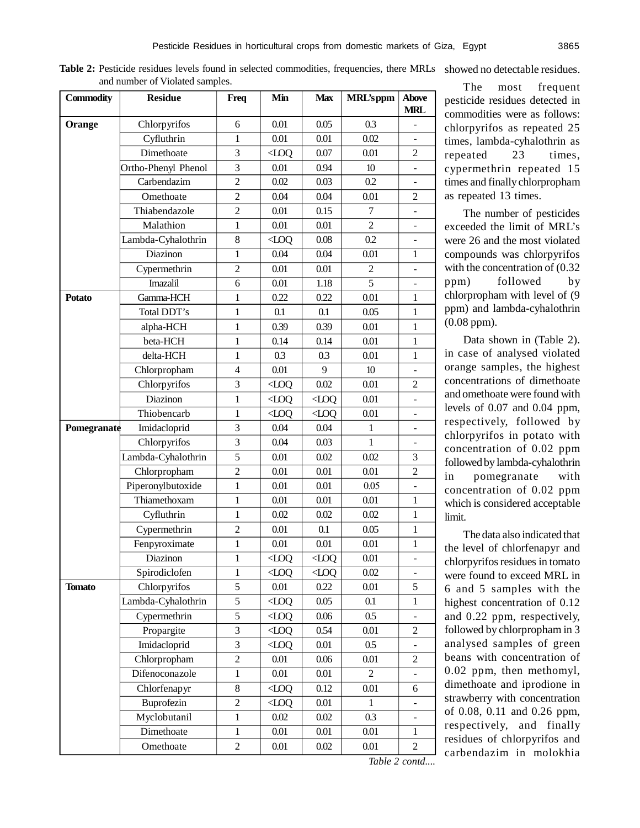Table 2: Pesticide residues levels found in selected commodities, frequencies, there MRLs showed no detectable residues. and number of Violated samples.

| <b>Commodity</b> | <b>Residue</b>      | Freq             | Min       | <b>Max</b> | <b>MRL'sppm</b>  | <b>Above</b><br><b>MRL</b> |
|------------------|---------------------|------------------|-----------|------------|------------------|----------------------------|
| Orange           | Chlorpyrifos        | 6                | 0.01      | 0.05       | 0.3              |                            |
|                  | Cyfluthrin          | 1                | 0.01      | 0.01       | 0.02             | ÷,                         |
|                  | Dimethoate          | 3                | $Q$ O $Q$ | 0.07       | 0.01             | 2                          |
|                  | Ortho-Phenyl Phenol | 3                | 0.01      | 0.94       | 10 <sup>10</sup> |                            |
|                  | Carbendazim         | $\overline{2}$   | 0.02      | 0.03       | 0.2              |                            |
|                  | Omethoate           | $\overline{c}$   | 0.04      | 0.04       | 0.01             | 2                          |
|                  | Thiabendazole       | $\overline{c}$   | 0.01      | 0.15       | $\overline{7}$   |                            |
|                  | Malathion           | $\mathbf{1}$     | 0.01      | 0.01       | $\overline{c}$   |                            |
|                  | Lambda-Cyhalothrin  | 8                | $Q$ O $Q$ | 0.08       | 0.2              |                            |
|                  | Diazinon            | $\mathbf{1}$     | 0.04      | 0.04       | 0.01             | $\mathbf{1}$               |
|                  | Cypermethrin        | $\overline{c}$   | 0.01      | 0.01       | 2                |                            |
|                  | Imazalil            | 6                | 0.01      | 1.18       | $\overline{5}$   | ÷,                         |
| <b>Potato</b>    | Gamma-HCH           | $\mathbf{1}$     | 0.22      | 0.22       | 0.01             | $\mathbf{1}$               |
|                  | Total DDT's         | $\mathbf{1}$     | 0.1       | 0.1        | 0.05             | $\mathbf{1}$               |
|                  | alpha-HCH           | 1                | 0.39      | 0.39       | 0.01             | 1                          |
|                  | beta-HCH            | $\mathbf{1}$     | 0.14      | 0.14       | 0.01             | $\mathbf{1}$               |
|                  | delta-HCH           | $\mathbf{1}$     | 0.3       | 0.3        | 0.01             | $\mathbf{1}$               |
|                  | Chlorpropham        | $\overline{4}$   | 0.01      | 9          | 10 <sup>°</sup>  |                            |
|                  | Chlorpyrifos        | 3                | QOL       | 0.02       | 0.01             | $\overline{2}$             |
|                  | Diazinon            | $\mathbf{1}$     | QOL       | $Q$ O $Q$  | 0.01             |                            |
|                  | Thiobencarb         | $\mathbf{1}$     | $Q$ O $Q$ | QOL        | 0.01             | -                          |
| Pomegranate      | Imidacloprid        | 3                | 0.04      | 0.04       | 1                | ÷,                         |
|                  | Chlorpyrifos        | 3                | 0.04      | 0.03       | $\mathbf{1}$     |                            |
|                  | Lambda-Cyhalothrin  | 5                | 0.01      | 0.02       | 0.02             | 3                          |
|                  | Chlorpropham        | $\overline{c}$   | 0.01      | 0.01       | 0.01             | $\overline{2}$             |
|                  | Piperonylbutoxide   | $\mathbf{1}$     | 0.01      | 0.01       | 0.05             | $\overline{\phantom{0}}$   |
|                  | Thiamethoxam        | 1                | 0.01      | 0.01       | 0.01             | 1                          |
|                  | Cyfluthrin          | 1                | 0.02      | 0.02       | 0.02             | 1                          |
|                  | Cypermethrin        | $\overline{c}$   | 0.01      | 0.1        | 0.05             | $\mathbf{1}$               |
|                  | Fenpyroximate       | 1                | 0.01      | 0.01       | 0.01             | $\mathbf{1}$               |
|                  | Diazinon            | 1                | QOL       | $Q$ OQ     | 0.01             | ÷,                         |
|                  | Spirodiclofen       | 1                | $Q$ OQ    | $\sim$ LOO | 0.02             | ÷                          |
| <b>Tomato</b>    | Chlorpyrifos        | 5                | 0.01      | 0.22       | 0.01             | 5                          |
|                  | Lambda-Cyhalothrin  | 5                | QOL       | 0.05       | 0.1              | 1                          |
|                  | Cypermethrin        | 5                | QOL       | 0.06       | $0.5\,$          |                            |
|                  | Propargite          | 3                | QOL       | 0.54       | 0.01             | 2                          |
|                  | Imidacloprid        | 3                | QOL       | 0.01       | 0.5              |                            |
|                  | Chlorpropham        | $\overline{c}$   | 0.01      | 0.06       | 0.01             | 2                          |
|                  | Difenoconazole      | $\mathbf{1}$     | 0.01      | 0.01       | $\overline{2}$   |                            |
|                  | Chlorfenapyr        | 8                | QOL       | 0.12       | 0.01             | 6                          |
|                  | Buprofezin          | $\boldsymbol{2}$ | QOL       | 0.01       | 1                |                            |
|                  | Myclobutanil        | $\mathbf{1}$     | 0.02      | 0.02       | 0.3              |                            |
|                  | Dimethoate          | $\mathbf{1}$     | 0.01      | 0.01       | 0.01             | 1                          |
|                  | Omethoate           | $\overline{c}$   | 0.01      | 0.02       | 0.01             | $\overline{2}$             |

The most frequent pesticide residues detected in commodities were as follows: chlorpyrifos as repeated 25 times, lambda-cyhalothrin as repeated 23 times, cypermethrin repeated 15 times and finally chlorpropham as repeated 13 times.

The number of pesticides exceeded the limit of MRL's were 26 and the most violated compounds was chlorpyrifos with the concentration of (0.32 ppm) followed by chlorpropham with level of (9 ppm) and lambda-cyhalothrin (0.08 ppm).

Data shown in (Table 2). in case of analysed violated orange samples, the highest concentrations of dimethoate and omethoate were found with levels of 0.07 and 0.04 ppm, respectively, followed by chlorpyrifos in potato with concentration of 0.02 ppm followed by lambda-cyhalothrin in pomegranate with concentration of 0.02 ppm which is considered acceptable limit.

The data also indicated that the level of chlorfenapyr and chlorpyrifos residues in tomato were found to exceed MRL in 6 and 5 samples with the highest concentration of 0.12 and 0.22 ppm, respectively, followed by chlorpropham in 3 analysed samples of green beans with concentration of 0.02 ppm, then methomyl, dimethoate and iprodione in strawberry with concentration of 0.08, 0.11 and 0.26 ppm, respectively, and finally residues of chlorpyrifos and carbendazim in molokhia

*Table 2 contd....*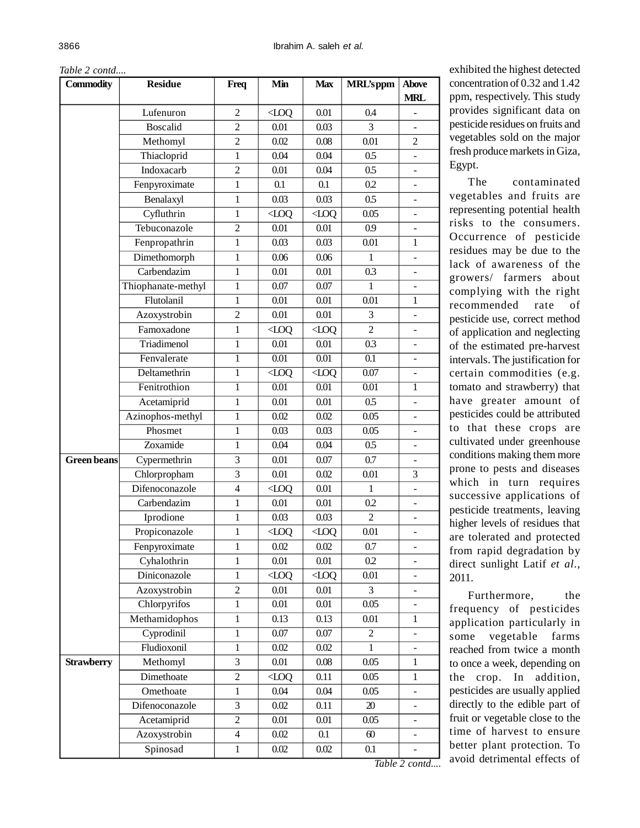| Table 2 contd |  |
|---------------|--|
|---------------|--|

| Lufenuron<br>2<br>QOL<br>0.01<br>0.4<br><b>Boscalid</b><br>$\overline{c}$<br>0.03<br>3<br>0.01 | <b>MRL</b><br>$\blacksquare$ |
|------------------------------------------------------------------------------------------------|------------------------------|
|                                                                                                |                              |
|                                                                                                |                              |
|                                                                                                |                              |
| $\overline{c}$<br>0.02<br>0.08<br>0.01<br>Methomyl                                             | 2                            |
| 1<br>Thiacloprid<br>0.04<br>0.04<br>0.5                                                        | $\overline{\phantom{0}}$     |
| Indoxacarb<br>$\overline{c}$<br>$0.5\,$<br>0.01<br>0.04                                        | $\overline{\phantom{a}}$     |
| Fenpyroximate<br>0.1<br>0.2<br>0.1<br>1                                                        |                              |
| $0.5\,$<br>Benalaxyl<br>$\mathbf{1}$<br>0.03<br>0.03                                           |                              |
| Cyfluthrin<br>0.05<br>1<br>QOL<br>QOL                                                          |                              |
| Tebuconazole<br>$\overline{c}$<br>0.01<br>0.01<br>0.9                                          | $\overline{a}$               |
| Fenpropathrin<br>$\mathbf{1}$<br>0.03<br>0.01<br>0.03                                          | 1                            |
| Dimethomorph<br>$\mathbf{1}$<br>0.06<br>0.06<br>1                                              | ÷.                           |
| Carbendazim<br>0.01<br>0.01<br>0.3<br>$\mathbf{1}$                                             | ÷.                           |
| Thiophanate-methyl<br>$\mathbf{1}$<br>0.07<br>0.07<br>1                                        |                              |
| Flutolanil<br>$\mathbf{1}$<br>0.01<br>0.01<br>0.01                                             | $\mathbf{1}$                 |
| Azoxystrobin<br>$\overline{c}$<br>0.01<br>3<br>0.01                                            | $\overline{\phantom{a}}$     |
| Famoxadone<br>$\overline{c}$<br>$\mathbf{1}$<br>QOL<br>QOL                                     |                              |
| Triadimenol<br>$\mathbf{1}$<br>0.01<br>0.01<br>0.3                                             | $\overline{\phantom{a}}$     |
| Fenvalerate<br>0.01<br>0.01<br>0.1<br>1                                                        | ÷.                           |
| 0.07<br>Deltamethrin<br>$\overline{QQ}$<br>$\overline{500}$<br>$\mathbf{1}$                    |                              |
| Fenitrothion<br>$\mathbf{1}$<br>0.01<br>0.01<br>0.01                                           | $\mathbf{1}$                 |
| 0.5<br>Acetamiprid<br>0.01<br>0.01<br>1                                                        | $\overline{\phantom{a}}$     |
| Azinophos-methyl<br>0.05<br>0.02<br>0.02<br>$\mathbf{1}$                                       | ÷                            |
| Phosmet<br>$\mathbf{1}$<br>0.03<br>0.03<br>0.05                                                |                              |
| Zoxamide<br>0.04<br>0.04<br>$0.5\,$<br>1                                                       | $\overline{a}$               |
| Cypermethrin<br>0.01<br>0.7<br><b>Green beans</b><br>3<br>0.07                                 | $\blacksquare$               |
| Chlorpropham<br>3<br>0.01<br>0.02<br>0.01                                                      | 3                            |
| Difenoconazole<br>$\overline{4}$<br>QOL<br>0.01<br>1                                           | $\overline{a}$               |
| Carbendazim<br>$\,1\,$<br>0.01<br>0.01<br>0.2                                                  | $\frac{1}{2}$                |
| Iprodione<br>0.03<br>0.03<br>$\overline{c}$<br>$\mathbf{1}$                                    |                              |
| Propiconazole<br>$\mathbf{1}$<br>0.01<br>QOL<br>QOL                                            | $\overline{\phantom{0}}$     |
| Fenpyroximate<br>1<br>0.02<br>0.02<br>0.7                                                      | $\qquad \qquad \blacksquare$ |
| Cyhalothrin<br>0.2<br>$\mathbf{1}$<br>0.01<br>0.01                                             | ÷.                           |
| Diniconazole<br>$\mathbf{1}$<br>0.01<br>QOL<br>QOL                                             |                              |
| Azoxystrobin<br>2<br>0.01<br>0.01<br>3                                                         |                              |
| Chlorpyrifos<br>0.01<br>0.01<br>0.05<br>1                                                      | $\overline{\phantom{a}}$     |
| Methamidophos<br>0.13<br>$0.01\,$<br>$\,1$<br>0.13                                             | $\mathbf{1}$                 |
| Cyprodinil<br>$\,1\,$<br>0.07<br>$0.07\,$<br>$\overline{c}$                                    | $\qquad \qquad \blacksquare$ |
| Fludioxonil<br>$\mathbf{1}$<br>$0.02\,$<br>0.02<br>1                                           | $\overline{\phantom{0}}$     |
| 3<br>0.05<br><b>Strawberry</b><br>Methomyl<br>0.01<br>0.08                                     | $\mathbf{1}$                 |
| Dimethoate<br>$\overline{c}$<br>0.05<br>QOL<br>0.11                                            | $\mathbf{1}$                 |
| Omethoate<br>0.04<br>$\mathbf{1}$<br>0.04<br>0.05                                              |                              |
| 3<br>$\boldsymbol{\mathcal{X}}$<br>Difenoconazole<br>$0.02\,$<br>0.11                          |                              |
| $\overline{2}$<br>Acetamiprid<br>$0.01\,$<br>0.05<br>0.01                                      | $\overline{\phantom{0}}$     |
| Azoxystrobin<br>$\overline{\mathcal{A}}$<br>0.02<br>0.1<br>$\omega$                            | $\qquad \qquad \blacksquare$ |
| Spinosad<br>$0.02\,$<br>0.1<br>$\mathbf{1}$<br>$0.02\,$                                        |                              |

exhibited the highest detected concentration of 0.32 and 1.42 ppm, respectively. This study provides significant data on pesticide residues on fruits and vegetables sold on the major fresh produce markets in Giza, Egypt.

The contaminated vegetables and fruits are representing potential health risks to the consumers. Occurrence of pesticide residues may be due to the lack of awareness of the growers/ farmers about complying with the right recommended rate of pesticide use, correct method of application and neglecting of the estimated pre-harvest intervals. The justification for certain commodities (e.g. tomato and strawberry) that have greater amount of pesticides could be attributed to that these crops are cultivated under greenhouse conditions making them more prone to pests and diseases which in turn requires successive applications of pesticide treatments, leaving higher levels of residues that are tolerated and protected from rapid degradation by direct sunlight Latif *et al.,* 2011.

Furthermore, the frequency of pesticides application particularly in some vegetable farms reached from twice a month to once a week, depending on the crop. In addition, pesticides are usually applied directly to the edible part of fruit or vegetable close to the time of harvest to ensure better plant protection. To avoid detrimental effects of

*Table 2 contd....*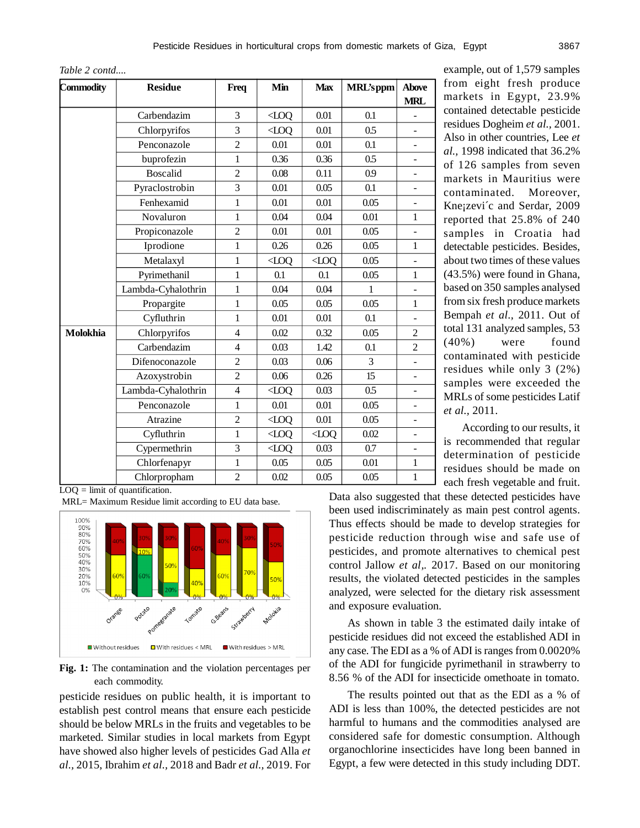| Commodity | <b>Residue</b>     | Freq           | Min        | <b>Max</b> | <b>MRL'sppm</b> | <b>Above</b><br><b>MRL</b> |
|-----------|--------------------|----------------|------------|------------|-----------------|----------------------------|
|           | Carbendazim        | 3              | $Q$ OQ     | 0.01       | 0.1             |                            |
|           | Chlorpyrifos       | 3              | $Q$ O $Q$  | 0.01       | 0.5             |                            |
|           | Penconazole        | $\overline{2}$ | 0.01       | 0.01       | 0.1             |                            |
|           | buprofezin         | $\mathbf{1}$   | 0.36       | 0.36       | 0.5             |                            |
|           | <b>Boscalid</b>    | $\overline{2}$ | 0.08       | 0.11       | 0.9             |                            |
|           | Pyraclostrobin     | 3              | 0.01       | 0.05       | 0.1             |                            |
|           | Fenhexamid         | $\mathbf{1}$   | 0.01       | 0.01       | 0.05            |                            |
|           | Novaluron          | 1              | 0.04       | 0.04       | 0.01            | 1                          |
|           | Propiconazole      | $\overline{c}$ | 0.01       | 0.01       | 0.05            |                            |
|           | Iprodione          | $\mathbf{1}$   | 0.26       | 0.26       | 0.05            | 1                          |
|           | Metalaxyl          | 1              | QOL        | QOL        | 0.05            |                            |
|           | Pyrimethanil       | $\mathbf{1}$   | 0.1        | 0.1        | 0.05            | $\mathbf{1}$               |
|           | Lambda-Cyhalothrin | 1              | 0.04       | 0.04       | $\mathbf{1}$    |                            |
|           | Propargite         | 1              | 0.05       | 0.05       | 0.05            | $\mathbf{1}$               |
|           | Cyfluthrin         | $\mathbf{1}$   | 0.01       | 0.01       | 0.1             |                            |
| Molokhia  | Chlorpyrifos       | $\overline{4}$ | 0.02       | 0.32       | 0.05            | $\mathfrak{2}$             |
|           | Carbendazim        | $\overline{4}$ | 0.03       | 1.42       | 0.1             | $\overline{2}$             |
|           | Difenoconazole     | $\overline{2}$ | 0.03       | 0.06       | 3               | ÷                          |
|           | Azoxystrobin       | $\overline{2}$ | 0.06       | 0.26       | 15              |                            |
|           | Lambda-Cyhalothrin | $\overline{4}$ | $\sim$ LOO | 0.03       | 0.5             |                            |
|           | Penconazole        | $\mathbf{1}$   | 0.01       | 0.01       | 0.05            | -                          |
|           | Atrazine           | $\overline{2}$ | QOL        | 0.01       | 0.05            |                            |
|           | Cyfluthrin         | $\mathbf{1}$   | $Q$ O $Q$  | QOL        | 0.02            |                            |
|           | Cypermethrin       | 3              | $Q$ O $Q$  | 0.03       | 0.7             |                            |
|           | Chlorfenapyr       | 1              | 0.05       | 0.05       | 0.01            | 1                          |
|           | Chlorpropham       | $\overline{2}$ | 0.02       | 0.05       | 0.05            | $\mathbf{1}$               |

example, out of 1,579 samples from eight fresh produce markets in Egypt, 23.9% contained detectable pesticide residues Dogheim *et al.,* 2001. Also in other countries, Lee *et al.,* 1998 indicated that 36.2% of 126 samples from seven markets in Mauritius were contaminated. Moreover, Kne¡zevi´c and Serdar, 2009 reported that 25.8% of 240 samples in Croatia had detectable pesticides. Besides, about two times of these values (43.5%) were found in Ghana, based on 350 samples analysed from six fresh produce markets Bempah *et al.,* 2011. Out of total 131 analyzed samples, 53 (40%) were found contaminated with pesticide residues while only 3 (2%) samples were exceeded the MRLs of some pesticides Latif *et al.,* 2011.

According to our results, it is recommended that regular determination of pesticide residues should be made on each fresh vegetable and fruit.

 $LOQ =$  limit of quantification.

MRL= Maximum Residue limit according to EU data base.



**Fig. 1:** The contamination and the violation percentages per each commodity.

pesticide residues on public health, it is important to establish pest control means that ensure each pesticide should be below MRLs in the fruits and vegetables to be marketed. Similar studies in local markets from Egypt have showed also higher levels of pesticides Gad Alla *et al.,* 2015, Ibrahim *et al.,* 2018 and Badr *et al.,* 2019. For Data also suggested that these detected pesticides have been used indiscriminately as main pest control agents. Thus effects should be made to develop strategies for pesticide reduction through wise and safe use of pesticides, and promote alternatives to chemical pest control Jallow *et al,.* 2017. Based on our monitoring results, the violated detected pesticides in the samples analyzed, were selected for the dietary risk assessment and exposure evaluation.

As shown in table 3 the estimated daily intake of pesticide residues did not exceed the established ADI in any case. The EDI as a % of ADI is ranges from 0.0020% of the ADI for fungicide pyrimethanil in strawberry to 8.56 % of the ADI for insecticide omethoate in tomato.

The results pointed out that as the EDI as a % of ADI is less than 100%, the detected pesticides are not harmful to humans and the commodities analysed are considered safe for domestic consumption. Although organochlorine insecticides have long been banned in Egypt, a few were detected in this study including DDT.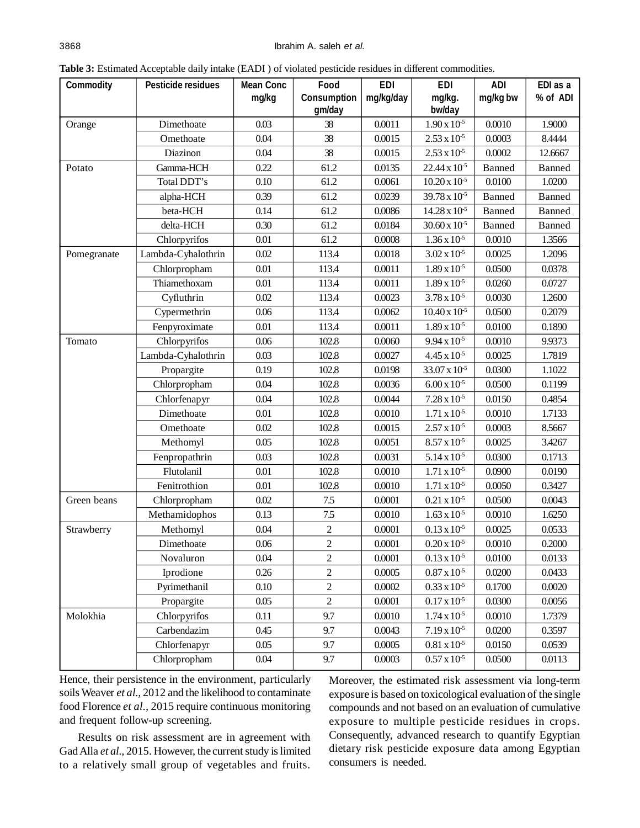| <b>Commodity</b> | <b>Pesticide residues</b> | <b>Mean Conc</b> | Food             | <b>EDI</b> | <b>EDI</b>                          | <b>ADI</b> | EDI as a |
|------------------|---------------------------|------------------|------------------|------------|-------------------------------------|------------|----------|
|                  |                           | mg/kg            | Consumption      | mg/kg/day  | mg/kg.                              | mg/kg bw   | % of ADI |
|                  |                           |                  | gm/day           |            | bw/day                              |            |          |
| Orange           | Dimethoate                | 0.03             | 38               | 0.0011     | $1.90 \times 10^{-5}$               | 0.0010     | 1.9000   |
|                  | Omethoate                 | 0.04             | 38               | 0.0015     | $2.53 \times 10^{-5}$               | 0.0003     | 8.4444   |
|                  | Diazinon                  | 0.04             | 38               | 0.0015     | $2.53 \times 10^{-5}$               | 0.0002     | 12.6667  |
| Potato           | Gamma-HCH                 | 0.22             | 61.2             | 0.0135     | $22.44 \times 10^{-5}$              | Banned     | Banned   |
|                  | Total DDT's               | 0.10             | 61.2             | 0.0061     | $10.20 \times 10^{-5}$              | 0.0100     | 1.0200   |
|                  | alpha-HCH                 | 0.39             | 61.2             | 0.0239     | $39.78 \times 10^{-5}$              | Banned     | Banned   |
|                  | beta-HCH                  | 0.14             | 61.2             | 0.0086     | $14.28 \times 10^{-5}$              | Banned     | Banned   |
|                  | delta-HCH                 | 0.30             | 61.2             | 0.0184     | $30.60 \times 10^{-5}$              | Banned     | Banned   |
|                  | Chlorpyrifos              | 0.01             | 61.2             | 0.0008     | $1.36 \times 10^{-5}$               | 0.0010     | 1.3566   |
| Pomegranate      | Lambda-Cyhalothrin        | 0.02             | 113.4            | 0.0018     | $3.02 \times 10^{-5}$               | 0.0025     | 1.2096   |
|                  | Chlorpropham              | 0.01             | 113.4            | 0.0011     | $1.89 \times 10^{-5}$               | 0.0500     | 0.0378   |
|                  | Thiamethoxam              | 0.01             | 113.4            | 0.0011     | $1.89 \times 10^{-5}$               | 0.0260     | 0.0727   |
|                  | Cyfluthrin                | 0.02             | 113.4            | 0.0023     | $\frac{1}{3.78}$ x 10 <sup>-5</sup> | 0.0030     | 1.2600   |
|                  | Cypermethrin              | 0.06             | 113.4            | 0.0062     | $10.40 \times 10^{-5}$              | 0.0500     | 0.2079   |
|                  | Fenpyroximate             | 0.01             | 113.4            | 0.0011     | $1.89 \times 10^{-5}$               | 0.0100     | 0.1890   |
| Tomato           | Chlorpyrifos              | 0.06             | 102.8            | 0.0060     | $9.94 \times 10^{-5}$               | 0.0010     | 9.9373   |
|                  | Lambda-Cyhalothrin        | 0.03             | 102.8            | 0.0027     | $4.45 \times 10^{-5}$               | 0.0025     | 1.7819   |
|                  | Propargite                | 0.19             | 102.8            | 0.0198     | $33.07 \times 10^{-5}$              | 0.0300     | 1.1022   |
|                  | Chlorpropham              | 0.04             | 102.8            | 0.0036     | $6.00 \times 10^{-5}$               | 0.0500     | 0.1199   |
|                  | Chlorfenapyr              | 0.04             | 102.8            | 0.0044     | $7.28 \times 10^{-5}$               | 0.0150     | 0.4854   |
|                  | Dimethoate                | 0.01             | 102.8            | 0.0010     | $1.71 \times 10^{-5}$               | 0.0010     | 1.7133   |
|                  | Omethoate                 | 0.02             | 102.8            | 0.0015     | $2.57 \times 10^{-5}$               | 0.0003     | 8.5667   |
|                  | Methomyl                  | 0.05             | 102.8            | 0.0051     | $8.57 \times 10^{-5}$               | 0.0025     | 3.4267   |
|                  | Fenpropathrin             | 0.03             | 102.8            | 0.0031     | $5.14 \times 10^{-5}$               | 0.0300     | 0.1713   |
|                  | Flutolanil                | 0.01             | 102.8            | 0.0010     | $1.71 \times 10^{-5}$               | 0.0900     | 0.0190   |
|                  | Fenitrothion              | 0.01             | 102.8            | 0.0010     | $1.71 \times 10^{-5}$               | 0.0050     | 0.3427   |
| Green beans      | Chlorpropham              | 0.02             | 7.5              | 0.0001     | $0.21 \times 10^{-5}$               | 0.0500     | 0.0043   |
|                  | Methamidophos             | 0.13             | 7.5              | 0.0010     | $1.63 \times 10^{-5}$               | 0.0010     | 1.6250   |
| Strawberry       | Methomyl                  | 0.04             | $\overline{c}$   | 0.0001     | $0.13 \times 10^{-5}$               | 0.0025     | 0.0533   |
|                  | Dimethoate                | $0.06\,$         | $\overline{c}$   | 0.0001     | $0.20 \times 10^{-5}$               | 0.0010     | 0.2000   |
|                  | Novaluron                 | 0.04             | $\overline{c}$   | 0.0001     | $0.13 \times 10^{-5}$               | 0.0100     | 0.0133   |
|                  | Iprodione                 | 0.26             | $\sqrt{2}$       | 0.0005     | $0.87 \times 10^{-5}$               | 0.0200     | 0.0433   |
|                  | Pyrimethanil              | 0.10             | $\overline{c}$   | 0.0002     | $0.33 \times 10^{-5}$               | 0.1700     | 0.0020   |
|                  | Propargite                | 0.05             | $\boldsymbol{2}$ | 0.0001     | $0.17 \times 10^{-5}$               | 0.0300     | 0.0056   |
| Molokhia         | Chlorpyrifos              | 0.11             | 9.7              | 0.0010     | $1.74 \times 10^{-5}$               | 0.0010     | 1.7379   |
|                  | Carbendazim               | 0.45             | 9.7              | 0.0043     | $7.19 \times 10^{-5}$               | 0.0200     | 0.3597   |
|                  | Chlorfenapyr              | 0.05             | 9.7              | 0.0005     | $0.81 \times 10^{5}$                | 0.0150     | 0.0539   |
|                  | Chlorpropham              | 0.04             | 9.7              | 0.0003     | $0.57 \times 10^{-5}$               | 0.0500     | 0.0113   |

**Table 3:** Estimated Acceptable daily intake (EADI ) of violated pesticide residues in different commodities.

Hence, their persistence in the environment, particularly soils Weaver *et al.,* 2012 and the likelihood to contaminate food Florence *et al.,* 2015 require continuous monitoring and frequent follow-up screening.

Results on risk assessment are in agreement with Gad Alla *et al.,* 2015. However, the current study is limited to a relatively small group of vegetables and fruits.

Moreover, the estimated risk assessment via long-term exposure is based on toxicological evaluation of the single compounds and not based on an evaluation of cumulative exposure to multiple pesticide residues in crops. Consequently, advanced research to quantify Egyptian dietary risk pesticide exposure data among Egyptian consumers is needed.